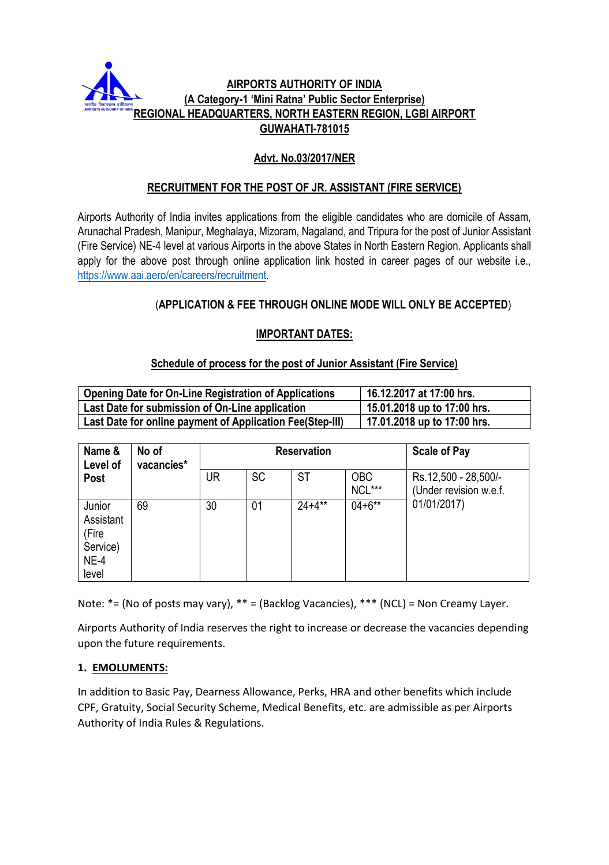

# **Advt. No.03/2017/NER**

# **RECRUITMENT FOR THE POST OF JR. ASSISTANT (FIRE SERVICE)**

Airports Authority of India invites applications from the eligible candidates who are domicile of Assam, Arunachal Pradesh, Manipur, Meghalaya, Mizoram, Nagaland, and Tripura for the post of Junior Assistant (Fire Service) NE-4 level at various Airports in the above States in North Eastern Region. Applicants shall apply for the above post through online application link hosted in career pages of our website i.e., [https://www.aai.aero/en/careers/recruitment.](https://www.aai.aero/en/careers/recruitment)

# (**APPLICATION & FEE THROUGH ONLINE MODE WILL ONLY BE ACCEPTED**)

# **IMPORTANT DATES:**

## **Schedule of process for the post of Junior Assistant (Fire Service)**

| <b>Opening Date for On-Line Registration of Applications</b> | 16.12.2017 at 17:00 hrs.      |
|--------------------------------------------------------------|-------------------------------|
| Last Date for submission of On-Line application              | $15.01.2018$ up to 17:00 hrs. |
| Last Date for online payment of Application Fee(Step-III)    | 17.01.2018 up to 17:00 hrs.   |

| Name &<br>Level of                                          | No of<br>vacancies* | <b>Reservation</b> |           |            |                      | <b>Scale of Pay</b>                                           |
|-------------------------------------------------------------|---------------------|--------------------|-----------|------------|----------------------|---------------------------------------------------------------|
| Post                                                        |                     | <b>UR</b>          | <b>SC</b> | <b>ST</b>  | <b>OBC</b><br>NCL*** | Rs.12,500 - 28,500/-<br>(Under revision w.e.f.<br>01/01/2017) |
| Junior<br>Assistant<br>(Fire<br>Service)<br>$NE-4$<br>level | 69                  | 30                 | 01        | $24 + 4**$ | $04 + 6**$           |                                                               |

Note: \*= (No of posts may vary), \*\* = (Backlog Vacancies), \*\*\* (NCL) = Non Creamy Layer.

Airports Authority of India reserves the right to increase or decrease the vacancies depending upon the future requirements.

## **1. EMOLUMENTS:**

In addition to Basic Pay, Dearness Allowance, Perks, HRA and other benefits which include CPF, Gratuity, Social Security Scheme, Medical Benefits, etc. are admissible as per Airports Authority of India Rules & Regulations.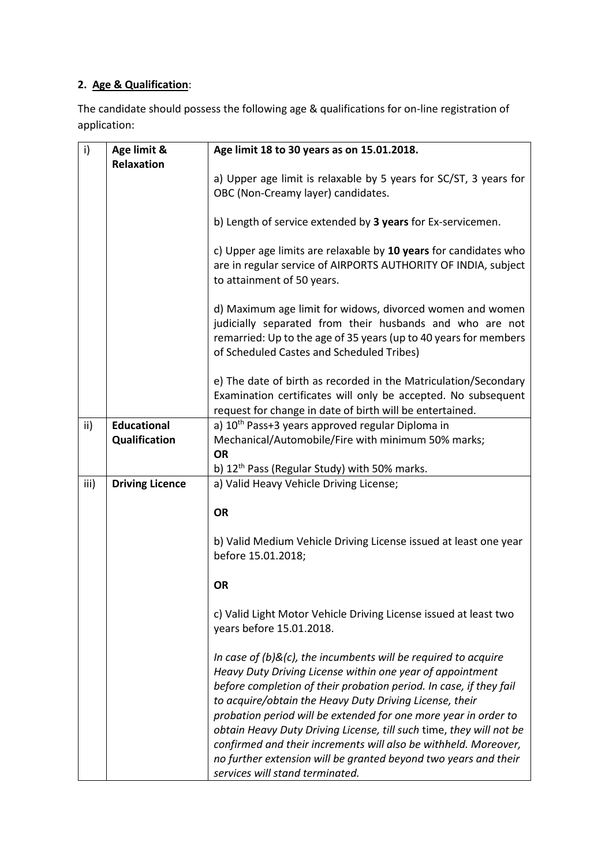# **2. Age & Qualification**:

The candidate should possess the following age & qualifications for on-line registration of application:

| i)   | Age limit &            | Age limit 18 to 30 years as on 15.01.2018.                          |  |  |
|------|------------------------|---------------------------------------------------------------------|--|--|
|      | <b>Relaxation</b>      |                                                                     |  |  |
|      |                        | a) Upper age limit is relaxable by 5 years for SC/ST, 3 years for   |  |  |
|      |                        | OBC (Non-Creamy layer) candidates.                                  |  |  |
|      |                        |                                                                     |  |  |
|      |                        | b) Length of service extended by 3 years for Ex-servicemen.         |  |  |
|      |                        |                                                                     |  |  |
|      |                        | c) Upper age limits are relaxable by 10 years for candidates who    |  |  |
|      |                        | are in regular service of AIRPORTS AUTHORITY OF INDIA, subject      |  |  |
|      |                        | to attainment of 50 years.                                          |  |  |
|      |                        |                                                                     |  |  |
|      |                        | d) Maximum age limit for widows, divorced women and women           |  |  |
|      |                        | judicially separated from their husbands and who are not            |  |  |
|      |                        | remarried: Up to the age of 35 years (up to 40 years for members    |  |  |
|      |                        | of Scheduled Castes and Scheduled Tribes)                           |  |  |
|      |                        |                                                                     |  |  |
|      |                        | e) The date of birth as recorded in the Matriculation/Secondary     |  |  |
|      |                        | Examination certificates will only be accepted. No subsequent       |  |  |
|      |                        | request for change in date of birth will be entertained.            |  |  |
| ii)  | <b>Educational</b>     | a) 10 <sup>th</sup> Pass+3 years approved regular Diploma in        |  |  |
|      | Qualification          | Mechanical/Automobile/Fire with minimum 50% marks;                  |  |  |
|      |                        | <b>OR</b>                                                           |  |  |
|      |                        | b) 12 <sup>th</sup> Pass (Regular Study) with 50% marks.            |  |  |
| iii) | <b>Driving Licence</b> | a) Valid Heavy Vehicle Driving License;                             |  |  |
|      |                        |                                                                     |  |  |
|      |                        | <b>OR</b>                                                           |  |  |
|      |                        |                                                                     |  |  |
|      |                        | b) Valid Medium Vehicle Driving License issued at least one year    |  |  |
|      |                        | before 15.01.2018;                                                  |  |  |
|      |                        |                                                                     |  |  |
|      |                        | <b>OR</b>                                                           |  |  |
|      |                        | c) Valid Light Motor Vehicle Driving License issued at least two    |  |  |
|      |                        | years before 15.01.2018.                                            |  |  |
|      |                        |                                                                     |  |  |
|      |                        | In case of $(b)$ &(c), the incumbents will be required to acquire   |  |  |
|      |                        | Heavy Duty Driving License within one year of appointment           |  |  |
|      |                        | before completion of their probation period. In case, if they fail  |  |  |
|      |                        | to acquire/obtain the Heavy Duty Driving License, their             |  |  |
|      |                        | probation period will be extended for one more year in order to     |  |  |
|      |                        | obtain Heavy Duty Driving License, till such time, they will not be |  |  |
|      |                        |                                                                     |  |  |
|      |                        | confirmed and their increments will also be withheld. Moreover,     |  |  |
|      |                        | no further extension will be granted beyond two years and their     |  |  |
|      |                        | services will stand terminated.                                     |  |  |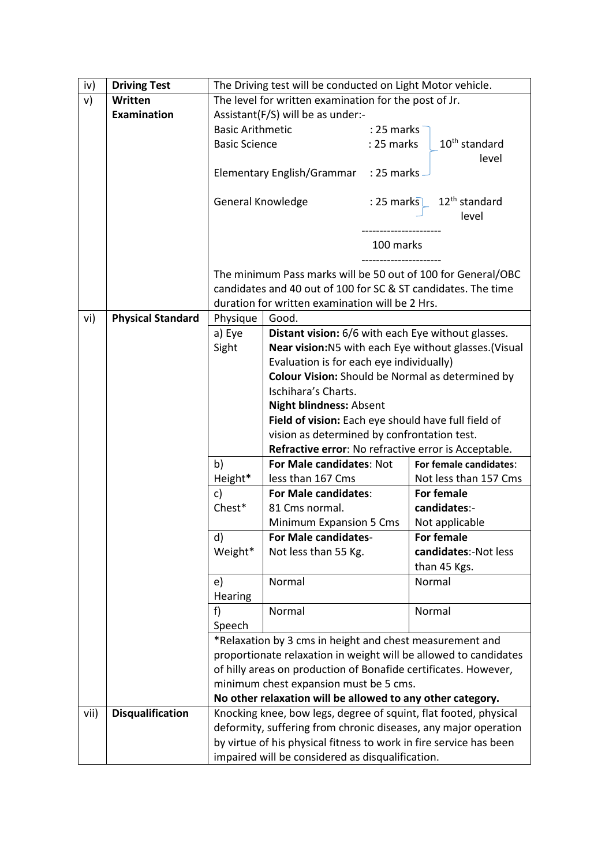| iv)  | <b>Driving Test</b>      | The Driving test will be conducted on Light Motor vehicle.                                                                    |                                                                                                            |              |                                      |  |  |
|------|--------------------------|-------------------------------------------------------------------------------------------------------------------------------|------------------------------------------------------------------------------------------------------------|--------------|--------------------------------------|--|--|
| v)   | Written                  |                                                                                                                               | The level for written examination for the post of Jr.                                                      |              |                                      |  |  |
|      | <b>Examination</b>       |                                                                                                                               | Assistant(F/S) will be as under:-                                                                          |              |                                      |  |  |
|      |                          | <b>Basic Arithmetic</b>                                                                                                       |                                                                                                            | $: 25$ marks |                                      |  |  |
|      |                          | <b>Basic Science</b>                                                                                                          |                                                                                                            | : 25 marks   | $10th$ standard                      |  |  |
|      |                          |                                                                                                                               |                                                                                                            |              | level                                |  |  |
|      |                          |                                                                                                                               | Elementary English/Grammar : 25 marks -                                                                    |              |                                      |  |  |
|      |                          |                                                                                                                               |                                                                                                            |              |                                      |  |  |
|      |                          | General Knowledge                                                                                                             |                                                                                                            |              | : 25 marks 12 <sup>th</sup> standard |  |  |
|      |                          |                                                                                                                               |                                                                                                            |              | level                                |  |  |
|      |                          |                                                                                                                               |                                                                                                            |              |                                      |  |  |
|      |                          |                                                                                                                               |                                                                                                            |              | 100 marks                            |  |  |
|      |                          |                                                                                                                               |                                                                                                            |              |                                      |  |  |
|      |                          | The minimum Pass marks will be 50 out of 100 for General/OBC<br>candidates and 40 out of 100 for SC & ST candidates. The time |                                                                                                            |              |                                      |  |  |
|      |                          |                                                                                                                               | duration for written examination will be 2 Hrs.                                                            |              |                                      |  |  |
| vi)  | <b>Physical Standard</b> | Physique                                                                                                                      | Good.                                                                                                      |              |                                      |  |  |
|      |                          | a) Eye                                                                                                                        |                                                                                                            |              |                                      |  |  |
|      |                          | Sight                                                                                                                         | Distant vision: 6/6 with each Eye without glasses.<br>Near vision:N5 with each Eye without glasses.(Visual |              |                                      |  |  |
|      |                          | Evaluation is for each eye individually)                                                                                      |                                                                                                            |              |                                      |  |  |
|      |                          | <b>Colour Vision:</b> Should be Normal as determined by                                                                       |                                                                                                            |              |                                      |  |  |
|      |                          | Ischihara's Charts.                                                                                                           |                                                                                                            |              |                                      |  |  |
|      |                          | <b>Night blindness: Absent</b>                                                                                                |                                                                                                            |              |                                      |  |  |
|      |                          | Field of vision: Each eye should have full field of                                                                           |                                                                                                            |              |                                      |  |  |
|      |                          | vision as determined by confrontation test.                                                                                   |                                                                                                            |              |                                      |  |  |
|      |                          | Refractive error: No refractive error is Acceptable.                                                                          |                                                                                                            |              |                                      |  |  |
|      |                          | b)                                                                                                                            | <b>For Male candidates: Not</b><br>For female candidates:                                                  |              |                                      |  |  |
|      |                          | Height*                                                                                                                       | less than 167 Cms                                                                                          |              | Not less than 157 Cms                |  |  |
|      |                          | c)                                                                                                                            | For Male candidates:                                                                                       |              | <b>For female</b>                    |  |  |
|      |                          | Chest*                                                                                                                        | 81 Cms normal.                                                                                             |              | candidates:-                         |  |  |
|      |                          |                                                                                                                               | Minimum Expansion 5 Cms                                                                                    |              | Not applicable                       |  |  |
|      |                          | d)                                                                                                                            | <b>For Male candidates-</b>                                                                                |              | <b>For female</b>                    |  |  |
|      |                          | Weight*                                                                                                                       | Not less than 55 Kg.                                                                                       |              | candidates:-Not less                 |  |  |
|      |                          |                                                                                                                               |                                                                                                            |              | than 45 Kgs.                         |  |  |
|      |                          | e)                                                                                                                            | Normal                                                                                                     |              | Normal                               |  |  |
|      |                          | Hearing                                                                                                                       |                                                                                                            |              |                                      |  |  |
|      |                          | f)                                                                                                                            | Normal                                                                                                     |              | Normal                               |  |  |
|      |                          | Speech                                                                                                                        |                                                                                                            |              |                                      |  |  |
|      |                          | *Relaxation by 3 cms in height and chest measurement and                                                                      |                                                                                                            |              |                                      |  |  |
|      |                          | proportionate relaxation in weight will be allowed to candidates                                                              |                                                                                                            |              |                                      |  |  |
|      |                          | of hilly areas on production of Bonafide certificates. However,                                                               |                                                                                                            |              |                                      |  |  |
|      |                          | minimum chest expansion must be 5 cms.                                                                                        |                                                                                                            |              |                                      |  |  |
|      |                          | No other relaxation will be allowed to any other category.                                                                    |                                                                                                            |              |                                      |  |  |
| vii) | <b>Disqualification</b>  | Knocking knee, bow legs, degree of squint, flat footed, physical                                                              |                                                                                                            |              |                                      |  |  |
|      |                          | deformity, suffering from chronic diseases, any major operation                                                               |                                                                                                            |              |                                      |  |  |
|      |                          | by virtue of his physical fitness to work in fire service has been                                                            |                                                                                                            |              |                                      |  |  |
|      |                          | impaired will be considered as disqualification.                                                                              |                                                                                                            |              |                                      |  |  |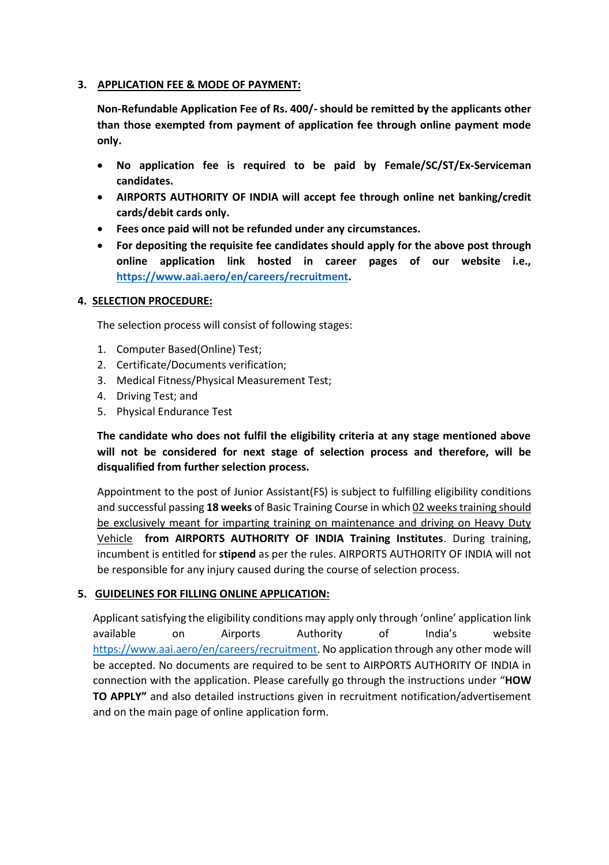## **3. APPLICATION FEE & MODE OF PAYMENT:**

**Non-Refundable Application Fee of Rs. 400/- should be remitted by the applicants other than those exempted from payment of application fee through online payment mode only.**

- **No application fee is required to be paid by Female/SC/ST/Ex-Serviceman candidates.**
- **AIRPORTS AUTHORITY OF INDIA will accept fee through online net banking/credit cards/debit cards only.**
- **Fees once paid will not be refunded under any circumstances.**
- **For depositing the requisite fee candidates should apply for the above post through online application link hosted in career pages of our website i.e., [https://www.aai.aero/en/careers/recruitment.](https://www.aai.aero/en/careers/recruitment)**

## **4. SELECTION PROCEDURE:**

The selection process will consist of following stages:

- 1. Computer Based(Online) Test;
- 2. Certificate/Documents verification;
- 3. Medical Fitness/Physical Measurement Test;
- 4. Driving Test; and
- 5. Physical Endurance Test

**The candidate who does not fulfil the eligibility criteria at any stage mentioned above will not be considered for next stage of selection process and therefore, will be disqualified from further selection process.** 

Appointment to the post of Junior Assistant(FS) is subject to fulfilling eligibility conditions and successful passing **18 weeks** of Basic Training Course in which 02 weeks training should be exclusively meant for imparting training on maintenance and driving on Heavy Duty Vehicle **from AIRPORTS AUTHORITY OF INDIA Training Institutes**. During training, incumbent is entitled for **stipend** as per the rules. AIRPORTS AUTHORITY OF INDIA will not be responsible for any injury caused during the course of selection process.

## **5. GUIDELINES FOR FILLING ONLINE APPLICATION:**

Applicant satisfying the eligibility conditions may apply only through 'online' application link available on Airports Authority of India's website [https://www.aai.aero/en/careers/recruitment.](https://www.aai.aero/en/careers/recruitment) No application through any other mode will be accepted. No documents are required to be sent to AIRPORTS AUTHORITY OF INDIA in connection with the application. Please carefully go through the instructions under "**HOW TO APPLY"** and also detailed instructions given in recruitment notification/advertisement and on the main page of online application form.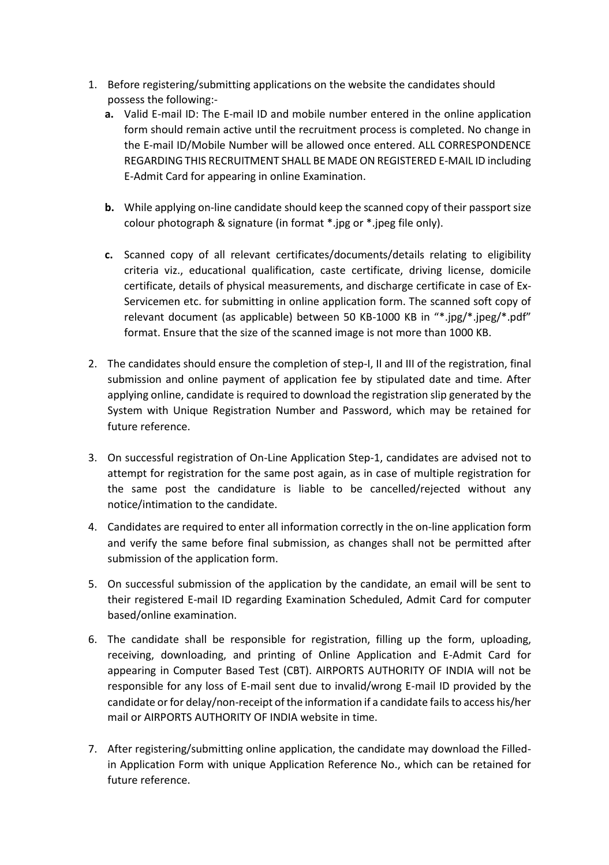- 1. Before registering/submitting applications on the website the candidates should possess the following:
	- **a.** Valid E-mail ID: The E-mail ID and mobile number entered in the online application form should remain active until the recruitment process is completed. No change in the E-mail ID/Mobile Number will be allowed once entered. ALL CORRESPONDENCE REGARDING THIS RECRUITMENT SHALL BE MADE ON REGISTERED E-MAIL ID including E-Admit Card for appearing in online Examination.
	- **b.** While applying on-line candidate should keep the scanned copy of their passport size colour photograph & signature (in format \*.jpg or \*.jpeg file only).
	- **c.** Scanned copy of all relevant certificates/documents/details relating to eligibility criteria viz., educational qualification, caste certificate, driving license, domicile certificate, details of physical measurements, and discharge certificate in case of Ex-Servicemen etc. for submitting in online application form. The scanned soft copy of relevant document (as applicable) between 50 KB-1000 KB in "\*.jpg/\*.jpeg/\*.pdf" format. Ensure that the size of the scanned image is not more than 1000 KB.
- 2. The candidates should ensure the completion of step-I, II and III of the registration, final submission and online payment of application fee by stipulated date and time. After applying online, candidate is required to download the registration slip generated by the System with Unique Registration Number and Password, which may be retained for future reference.
- 3. On successful registration of On-Line Application Step-1, candidates are advised not to attempt for registration for the same post again, as in case of multiple registration for the same post the candidature is liable to be cancelled/rejected without any notice/intimation to the candidate.
- 4. Candidates are required to enter all information correctly in the on-line application form and verify the same before final submission, as changes shall not be permitted after submission of the application form.
- 5. On successful submission of the application by the candidate, an email will be sent to their registered E-mail ID regarding Examination Scheduled, Admit Card for computer based/online examination.
- 6. The candidate shall be responsible for registration, filling up the form, uploading, receiving, downloading, and printing of Online Application and E-Admit Card for appearing in Computer Based Test (CBT). AIRPORTS AUTHORITY OF INDIA will not be responsible for any loss of E-mail sent due to invalid/wrong E-mail ID provided by the candidate or for delay/non-receipt of the information if a candidate fails to access his/her mail or AIRPORTS AUTHORITY OF INDIA website in time.
- 7. After registering/submitting online application, the candidate may download the Filledin Application Form with unique Application Reference No., which can be retained for future reference.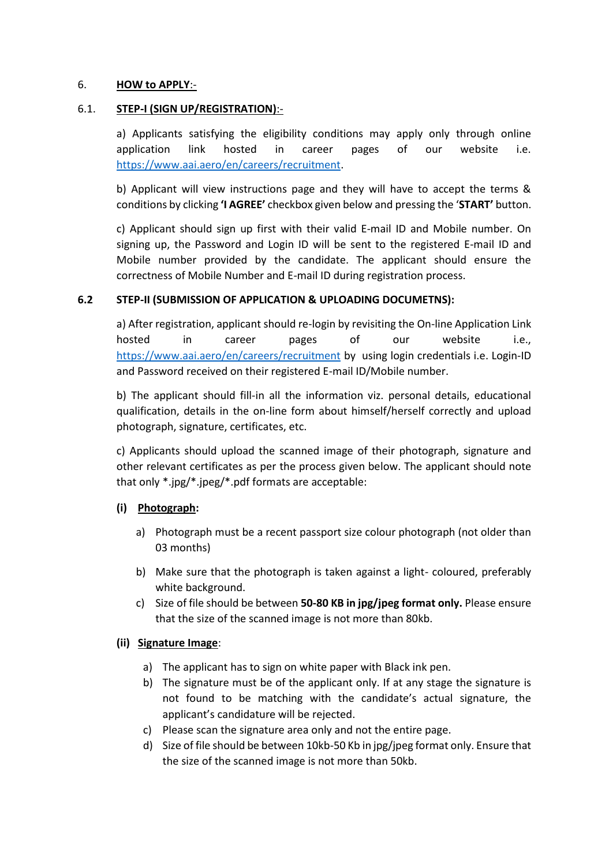#### 6. **HOW to APPLY**:-

#### 6.1. **STEP-I (SIGN UP/REGISTRATION)**:-

a) Applicants satisfying the eligibility conditions may apply only through online application link hosted in career pages of our website i.e. [https://www.aai.aero/en/careers/recruitment.](https://www.aai.aero/en/careers/recruitment)

b) Applicant will view instructions page and they will have to accept the terms & conditions by clicking **'I AGREE'** checkbox given below and pressing the '**START'** button.

c) Applicant should sign up first with their valid E-mail ID and Mobile number. On signing up, the Password and Login ID will be sent to the registered E-mail ID and Mobile number provided by the candidate. The applicant should ensure the correctness of Mobile Number and E-mail ID during registration process.

#### **6.2 STEP-II (SUBMISSION OF APPLICATION & UPLOADING DOCUMETNS):**

a) After registration, applicant should re-login by revisiting the On-line Application Link hosted in career pages of our website i.e., [https://www.aai.aero/en/careers/recruitment](https://www.aai.aero/en/careers/recruitment%20by%20%20using%20login%20credentials%20i.e) by using login credentials i.e. Login-ID and Password received on their registered E-mail ID/Mobile number.

b) The applicant should fill-in all the information viz. personal details, educational qualification, details in the on-line form about himself/herself correctly and upload photograph, signature, certificates, etc.

c) Applicants should upload the scanned image of their photograph, signature and other relevant certificates as per the process given below. The applicant should note that only \*.jpg/\*.jpeg/\*.pdf formats are acceptable:

## **(i) Photograph:**

- a) Photograph must be a recent passport size colour photograph (not older than 03 months)
- b) Make sure that the photograph is taken against a light- coloured, preferably white background.
- c) Size of file should be between **50-80 KB in jpg/jpeg format only.** Please ensure that the size of the scanned image is not more than 80kb.

## **(ii) Signature Image**:

- a) The applicant has to sign on white paper with Black ink pen.
- b) The signature must be of the applicant only. If at any stage the signature is not found to be matching with the candidate's actual signature, the applicant's candidature will be rejected.
- c) Please scan the signature area only and not the entire page.
- d) Size of file should be between 10kb-50 Kb in jpg/jpeg format only. Ensure that the size of the scanned image is not more than 50kb.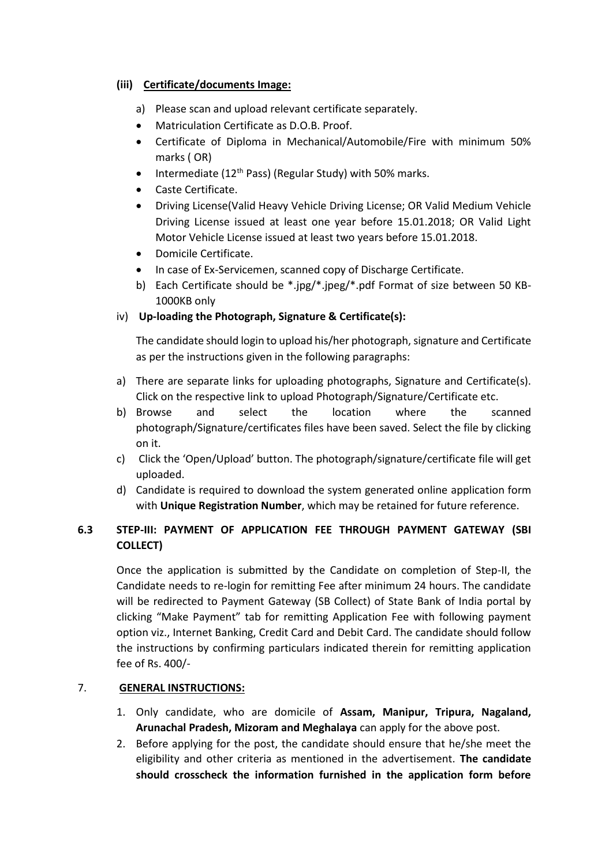# **(iii) Certificate/documents Image:**

- a) Please scan and upload relevant certificate separately.
- Matriculation Certificate as D.O.B. Proof.
- Certificate of Diploma in Mechanical/Automobile/Fire with minimum 50% marks ( OR)
- Intermediate ( $12<sup>th</sup>$  Pass) (Regular Study) with 50% marks.
- Caste Certificate.
- Driving License(Valid Heavy Vehicle Driving License; OR Valid Medium Vehicle Driving License issued at least one year before 15.01.2018; OR Valid Light Motor Vehicle License issued at least two years before 15.01.2018.
- Domicile Certificate.
- In case of Ex-Servicemen, scanned copy of Discharge Certificate.
- b) Each Certificate should be \*.jpg/\*.jpeg/\*.pdf Format of size between 50 KB-1000KB only

# iv) **Up-loading the Photograph, Signature & Certificate(s):**

The candidate should login to upload his/her photograph, signature and Certificate as per the instructions given in the following paragraphs:

- a) There are separate links for uploading photographs, Signature and Certificate(s). Click on the respective link to upload Photograph/Signature/Certificate etc.
- b) Browse and select the location where the scanned photograph/Signature/certificates files have been saved. Select the file by clicking on it.
- c) Click the 'Open/Upload' button. The photograph/signature/certificate file will get uploaded.
- d) Candidate is required to download the system generated online application form with **Unique Registration Number**, which may be retained for future reference.

# **6.3 STEP-III: PAYMENT OF APPLICATION FEE THROUGH PAYMENT GATEWAY (SBI COLLECT)**

Once the application is submitted by the Candidate on completion of Step-II, the Candidate needs to re-login for remitting Fee after minimum 24 hours. The candidate will be redirected to Payment Gateway (SB Collect) of State Bank of India portal by clicking "Make Payment" tab for remitting Application Fee with following payment option viz., Internet Banking, Credit Card and Debit Card. The candidate should follow the instructions by confirming particulars indicated therein for remitting application fee of Rs. 400/-

## 7. **GENERAL INSTRUCTIONS:**

- 1. Only candidate, who are domicile of **Assam, Manipur, Tripura, Nagaland, Arunachal Pradesh, Mizoram and Meghalaya** can apply for the above post.
- 2. Before applying for the post, the candidate should ensure that he/she meet the eligibility and other criteria as mentioned in the advertisement. **The candidate should crosscheck the information furnished in the application form before**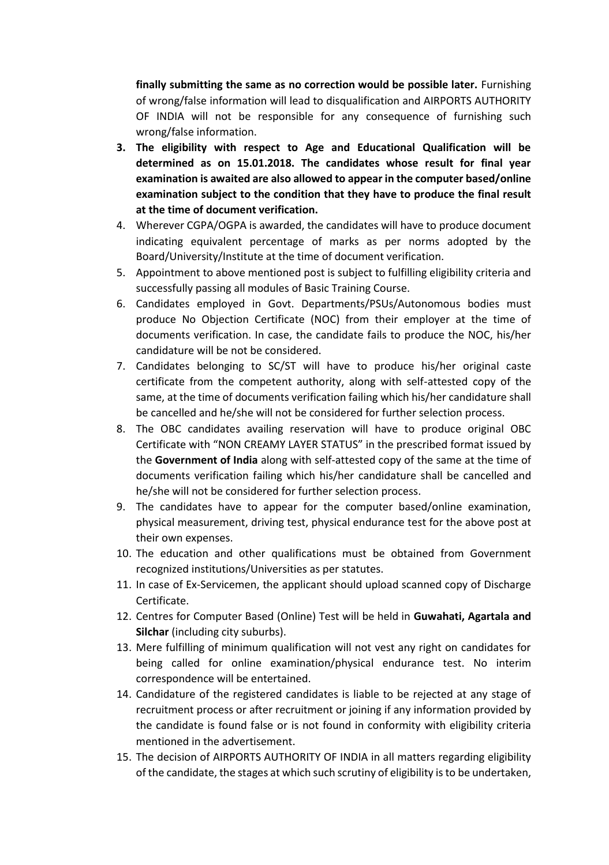**finally submitting the same as no correction would be possible later.** Furnishing of wrong/false information will lead to disqualification and AIRPORTS AUTHORITY OF INDIA will not be responsible for any consequence of furnishing such wrong/false information.

- **3. The eligibility with respect to Age and Educational Qualification will be determined as on 15.01.2018. The candidates whose result for final year examination is awaited are also allowed to appear in the computer based/online examination subject to the condition that they have to produce the final result at the time of document verification.**
- 4. Wherever CGPA/OGPA is awarded, the candidates will have to produce document indicating equivalent percentage of marks as per norms adopted by the Board/University/Institute at the time of document verification.
- 5. Appointment to above mentioned post is subject to fulfilling eligibility criteria and successfully passing all modules of Basic Training Course.
- 6. Candidates employed in Govt. Departments/PSUs/Autonomous bodies must produce No Objection Certificate (NOC) from their employer at the time of documents verification. In case, the candidate fails to produce the NOC, his/her candidature will be not be considered.
- 7. Candidates belonging to SC/ST will have to produce his/her original caste certificate from the competent authority, along with self-attested copy of the same, at the time of documents verification failing which his/her candidature shall be cancelled and he/she will not be considered for further selection process.
- 8. The OBC candidates availing reservation will have to produce original OBC Certificate with "NON CREAMY LAYER STATUS" in the prescribed format issued by the **Government of India** along with self-attested copy of the same at the time of documents verification failing which his/her candidature shall be cancelled and he/she will not be considered for further selection process.
- 9. The candidates have to appear for the computer based/online examination, physical measurement, driving test, physical endurance test for the above post at their own expenses.
- 10. The education and other qualifications must be obtained from Government recognized institutions/Universities as per statutes.
- 11. In case of Ex-Servicemen, the applicant should upload scanned copy of Discharge Certificate.
- 12. Centres for Computer Based (Online) Test will be held in **Guwahati, Agartala and Silchar** (including city suburbs).
- 13. Mere fulfilling of minimum qualification will not vest any right on candidates for being called for online examination/physical endurance test. No interim correspondence will be entertained.
- 14. Candidature of the registered candidates is liable to be rejected at any stage of recruitment process or after recruitment or joining if any information provided by the candidate is found false or is not found in conformity with eligibility criteria mentioned in the advertisement.
- 15. The decision of AIRPORTS AUTHORITY OF INDIA in all matters regarding eligibility of the candidate, the stages at which such scrutiny of eligibility is to be undertaken,